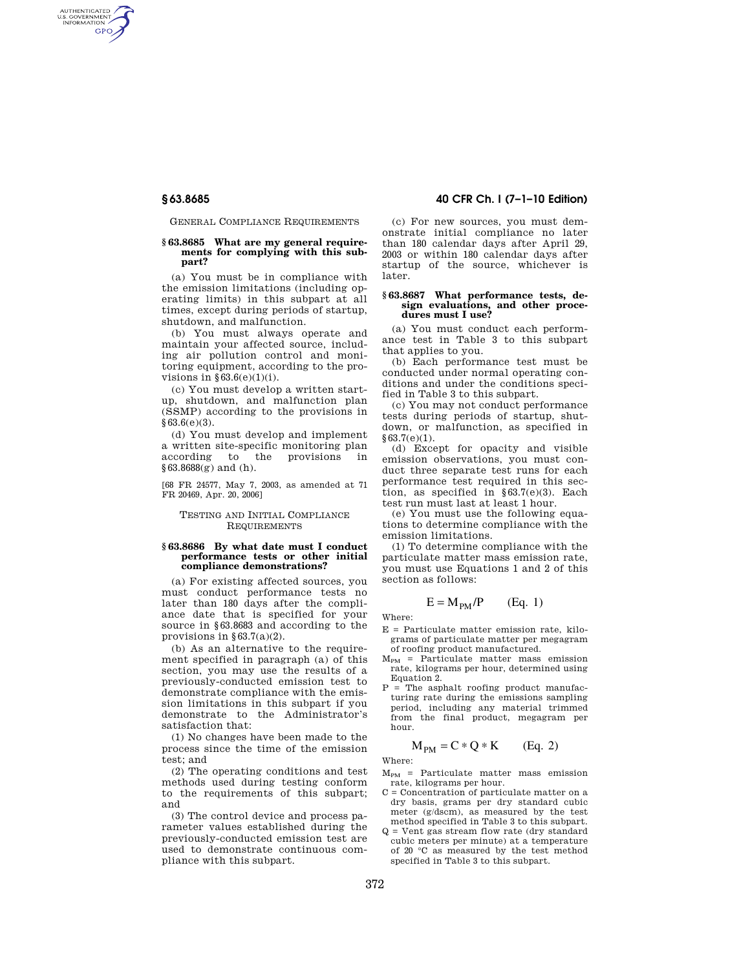AUTHENTICATED<br>U.S. GOVERNMENT<br>INFORMATION **GPO** 

GENERAL COMPLIANCE REQUIREMENTS

## **§ 63.8685 What are my general requirements for complying with this subpart?**

(a) You must be in compliance with the emission limitations (including operating limits) in this subpart at all times, except during periods of startup, shutdown, and malfunction.

(b) You must always operate and maintain your affected source, including air pollution control and monitoring equipment, according to the provisions in  $§63.6(e)(1)(i)$ .

(c) You must develop a written startup, shutdown, and malfunction plan (SSMP) according to the provisions in §63.6(e)(3).

(d) You must develop and implement a written site-specific monitoring plan according to the provisions in  $§63.8688(g)$  and (h).

[68 FR 24577, May 7, 2003, as amended at 71 FR 20469, Apr. 20, 2006]

## TESTING AND INITIAL COMPLIANCE REQUIREMENTS

## **§ 63.8686 By what date must I conduct performance tests or other initial compliance demonstrations?**

(a) For existing affected sources, you must conduct performance tests no later than 180 days after the compliance date that is specified for your source in §63.8683 and according to the provisions in  $\S 63.7(a)(2)$ .

(b) As an alternative to the requirement specified in paragraph (a) of this section, you may use the results of a previously-conducted emission test to demonstrate compliance with the emission limitations in this subpart if you demonstrate to the Administrator's satisfaction that:

(1) No changes have been made to the process since the time of the emission test; and

(2) The operating conditions and test methods used during testing conform to the requirements of this subpart; and

(3) The control device and process parameter values established during the previously-conducted emission test are used to demonstrate continuous compliance with this subpart.

# **§ 63.8685 40 CFR Ch. I (7–1–10 Edition)**

(c) For new sources, you must demonstrate initial compliance no later than 180 calendar days after April 29, 2003 or within 180 calendar days after startup of the source, whichever is later.

### **§ 63.8687 What performance tests, design evaluations, and other procedures must I use?**

(a) You must conduct each performance test in Table 3 to this subpart that applies to you.

(b) Each performance test must be conducted under normal operating conditions and under the conditions specified in Table 3 to this subpart.

(c) You may not conduct performance tests during periods of startup, shutdown, or malfunction, as specified in  $§ 63.7(e)(1).$ 

(d) Except for opacity and visible emission observations, you must conduct three separate test runs for each performance test required in this section, as specified in §63.7(e)(3). Each test run must last at least 1 hour.

(e) You must use the following equations to determine compliance with the emission limitations.

(1) To determine compliance with the particulate matter mass emission rate, you must use Equations 1 and 2 of this section as follows:

$$
E = M_{PM}/P \qquad (Eq. 1)
$$

Where:

- E = Particulate matter emission rate, kilograms of particulate matter per megagram of roofing product manufactured.
- $M_{PM}$  = Particulate matter mass emission rate, kilograms per hour, determined using Equation 2.
- $P = The$  asphalt roofing product manufacturing rate during the emissions sampling period, including any material trimmed from the final product, megagram per hour.

$$
M_{PM} = C \ast Q \ast K \qquad (Eq. 2)
$$

Where:

- $M_{PM}$  = Particulate matter mass emission rate, kilograms per hour.
- C = Concentration of particulate matter on a dry basis, grams per dry standard cubic meter (g/dscm), as measured by the test method specified in Table 3 to this subpart.
- $Q =$  Vent gas stream flow rate (dry standard cubic meters per minute) at a temperature of 20 °C as measured by the test method specified in Table 3 to this subpart.